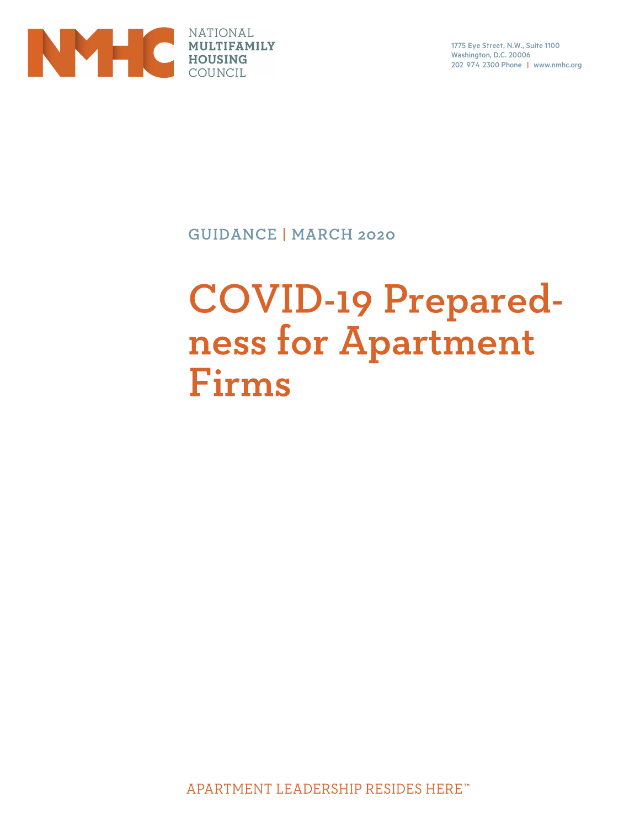

1775 Eye Street, N.W., Suite 1100 Washington, D.C. 20006 202 974 2300 Phone | www.nmhc.org

**GUIDANCE | MARCH 2020** 

# **COVID-19 Prepared**ness for Apartment Firms

APARTMENT LEADERSHIP RESIDES HERE"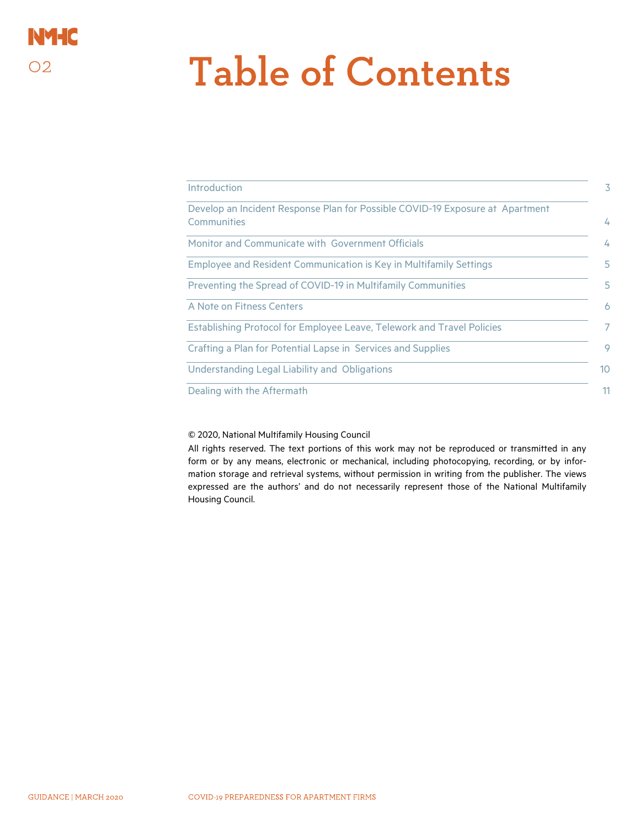### **NYHC**  $O2$

# **Table of Contents**

| Introduction                                                                                 |  |
|----------------------------------------------------------------------------------------------|--|
| Develop an Incident Response Plan for Possible COVID-19 Exposure at Apartment<br>Communities |  |
| Monitor and Communicate with Government Officials                                            |  |
| Employee and Resident Communication is Key in Multifamily Settings                           |  |
| Preventing the Spread of COVID-19 in Multifamily Communities                                 |  |
| A Note on Fitness Centers                                                                    |  |
| Establishing Protocol for Employee Leave, Telework and Travel Policies                       |  |
| Crafting a Plan for Potential Lapse in Services and Supplies                                 |  |
| Understanding Legal Liability and Obligations                                                |  |
| Dealing with the Aftermath                                                                   |  |

© 2020, National Multifamily Housing Council

All rights reserved. The text portions of this work may not be reproduced or transmitted in any form or by any means, electronic or mechanical, including photocopying, recording, or by information storage and retrieval systems, without permission in writing from the publisher. The views expressed are the authors' and do not necessarily represent those of the National Multifamily Housing Council.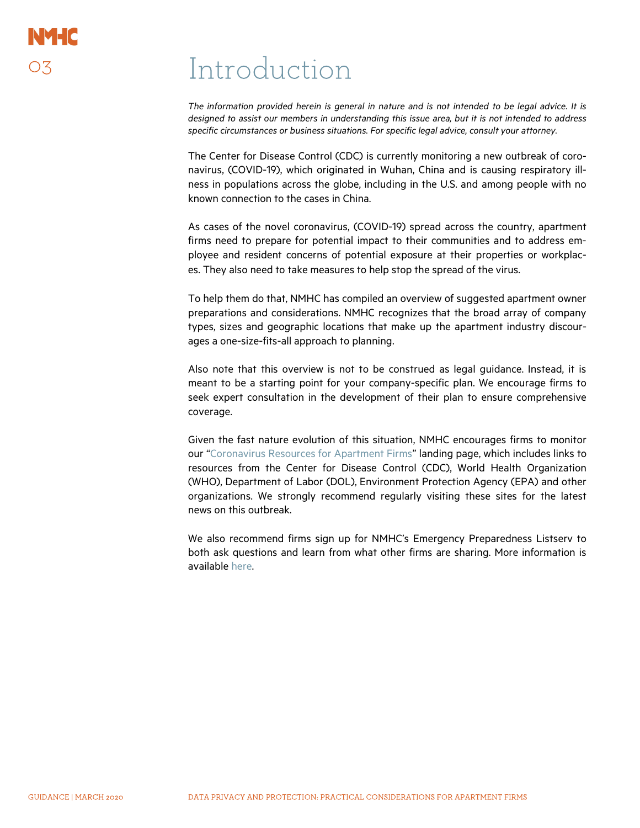## Introduction

The information provided herein is general in nature and is not intended to be legal advice. It is designed to assist our members in understanding this issue area, but it is not intended to address specific circumstances or business situations. For specific legal advice, consult your attorney.

The Center for Disease Control (CDC) is currently monitoring a new outbreak of coronavirus, (COVID-19), which originated in Wuhan, China and is causing respiratory illness in populations across the globe, including in the U.S. and among people with no known connection to the cases in China.

As cases of the novel coronavirus, (COVID-19) spread across the country, apartment firms need to prepare for potential impact to their communities and to address employee and resident concerns of potential exposure at their properties or workplaces. They also need to take measures to help stop the spread of the virus.

To help them do that, NMHC has compiled an overview of suggested apartment owner preparations and considerations. NMHC recognizes that the broad array of company types, sizes and geographic locations that make up the apartment industry discourages a one-size-fits-all approach to planning.

Also note that this overview is not to be construed as legal guidance. Instead, it is meant to be a starting point for your company-specific plan. We encourage firms to seek expert consultation in the development of their plan to ensure comprehensive coverage.

Given the fast nature evolution of this situation, NMHC encourages firms to monitor our "Coronavirus Resources for Apartment Firms" landing page, which includes links to resources from the Center for Disease Control (CDC), World Health Organization (WHO), Department of Labor (DOL), Environment Protection Agency (EPA) and other organizations. We strongly recommend regularly visiting these sites for the latest news on this outbreak.

We also recommend firms sign up for NMHC's Emergency Preparedness Listserv to both ask questions and learn from what other firms are sharing. More information is available here.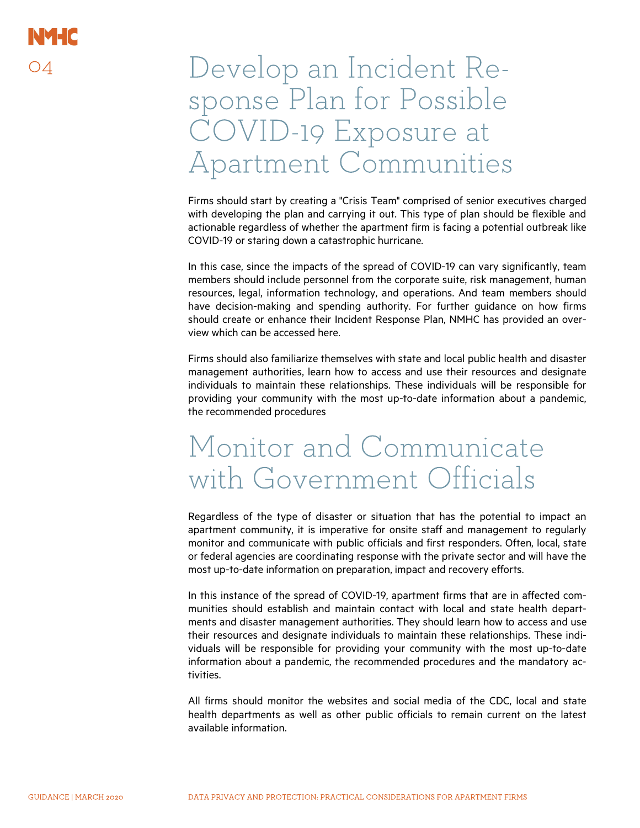### Develop an Incident Response Plan for Possible COVID-19 Exposure at Apartment Communities

Firms should start by creating a "Crisis Team" comprised of senior executives charged with developing the plan and carrying it out. This type of plan should be flexible and actionable regardless of whether the apartment firm is facing a potential outbreak like COVID-19 or staring down a catastrophic hurricane.

In this case, since the impacts of the spread of COVID-19 can vary significantly, team members should include personnel from the corporate suite, risk management, human resources, legal, information technology, and operations. And team members should have decision-making and spending authority. For further guidance on how firms should create or enhance their Incident Response Plan, NMHC has provided an overview which can be accessed here.

Firms should also familiarize themselves with state and local public health and disaster management authorities, learn how to access and use their resources and designate individuals to maintain these relationships. These individuals will be responsible for providing your community with the most up-to-date information about a pandemic, the recommended procedures

### Monitor and Communicate with Government Officials

Regardless of the type of disaster or situation that has the potential to impact an apartment community, it is imperative for onsite staff and management to regularly monitor and communicate with public officials and first responders. Often, local, state or federal agencies are coordinating response with the private sector and will have the most up-to-date information on preparation, impact and recovery efforts.

In this instance of the spread of COVID-19, apartment firms that are in affected communities should establish and maintain contact with local and state health departments and disaster management authorities. They should learn how to access and use their resources and designate individuals to maintain these relationships. These individuals will be responsible for providing your community with the most up-to-date information about a pandemic, the recommended procedures and the mandatory activities.

All firms should monitor the websites and social media of the CDC, local and state health departments as well as other public officials to remain current on the latest available information.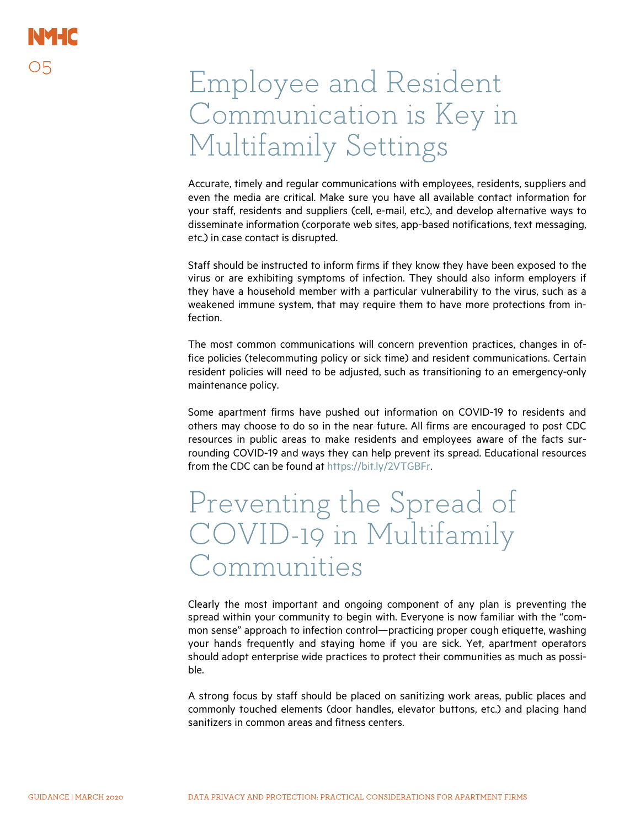### Employee and Resident Communication is Key in Multifamily Settings

Accurate, timely and regular communications with employees, residents, suppliers and even the media are critical. Make sure you have all available contact information for your staff, residents and suppliers (cell, e-mail, etc.), and develop alternative ways to disseminate information (corporate web sites, app-based notifications, text messaging, etc.) in case contact is disrupted.

Staff should be instructed to inform firms if they know they have been exposed to the virus or are exhibiting symptoms of infection. They should also inform employers if they have a household member with a particular vulnerability to the virus, such as a weakened immune system, that may require them to have more protections from infection.

The most common communications will concern prevention practices, changes in office policies (telecommuting policy or sick time) and resident communications. Certain resident policies will need to be adjusted, such as transitioning to an emergency-only maintenance policy.

Some apartment firms have pushed out information on COVID-19 to residents and others may choose to do so in the near future. All firms are encouraged to post CDC resources in public areas to make residents and employees aware of the facts surrounding COVID-19 and ways they can help prevent its spread. Educational resources from the CDC can be found at https://bit.ly/2VTGBFr.

### Preventing the Spread of COVID-19 in Multifamily Communities

Clearly the most important and ongoing component of any plan is preventing the spread within your community to begin with. Everyone is now familiar with the "common sense" approach to infection control—practicing proper cough etiquette, washing your hands frequently and staying home if you are sick. Yet, apartment operators should adopt enterprise wide practices to protect their communities as much as possible.

A strong focus by staff should be placed on sanitizing work areas, public places and commonly touched elements (door handles, elevator buttons, etc.) and placing hand sanitizers in common areas and fitness centers.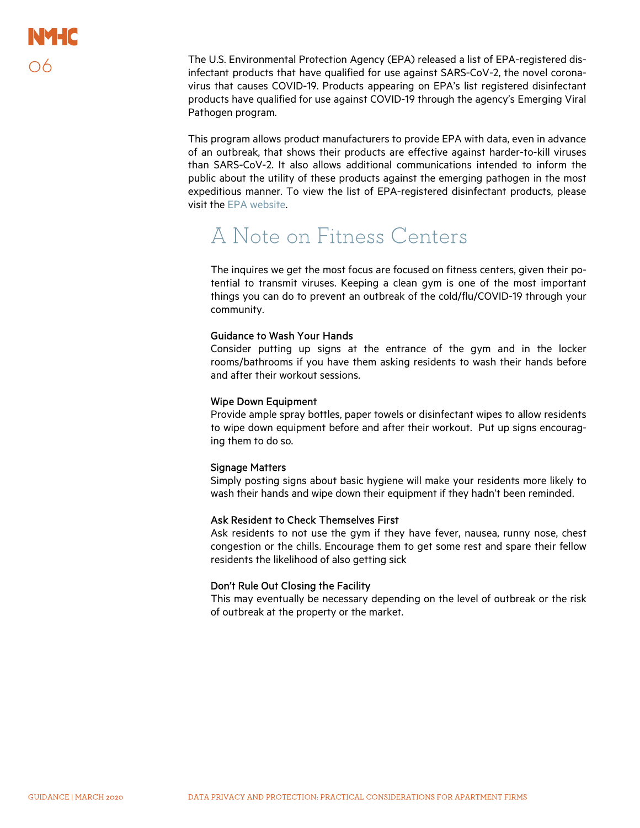The U.S. Environmental Protection Agency (EPA) released a list of EPA-registered disinfectant products that have qualified for use against SARS-CoV-2, the novel coronavirus that causes COVID-19. Products appearing on EPA's list registered disinfectant products have qualified for use against COVID-19 through the agency's Emerging Viral Pathogen program.

This program allows product manufacturers to provide EPA with data, even in advance of an outbreak, that shows their products are effective against harder-to-kill viruses than SARS-CoV-2. It also allows additional communications intended to inform the public about the utility of these products against the emerging pathogen in the most expeditious manner. To view the list of EPA-registered disinfectant products, please visit the EPA website.

### A Note on Fitness Centers

The inquires we get the most focus are focused on fitness centers, given their potential to transmit viruses. Keeping a clean gym is one of the most important things you can do to prevent an outbreak of the cold/flu/COVID-19 through your community.

#### Guidance to Wash Your Hands

Consider putting up signs at the entrance of the gym and in the locker rooms/bathrooms if you have them asking residents to wash their hands before and after their workout sessions.

#### Wipe Down Equipment

Provide ample spray bottles, paper towels or disinfectant wipes to allow residents to wipe down equipment before and after their workout. Put up signs encouraging them to do so.

#### Signage Matters

Simply posting signs about basic hygiene will make your residents more likely to wash their hands and wipe down their equipment if they hadn't been reminded.

#### Ask Resident to Check Themselves First

Ask residents to not use the gym if they have fever, nausea, runny nose, chest congestion or the chills. Encourage them to get some rest and spare their fellow residents the likelihood of also getting sick

#### Don't Rule Out Closing the Facility

This may eventually be necessary depending on the level of outbreak or the risk of outbreak at the property or the market.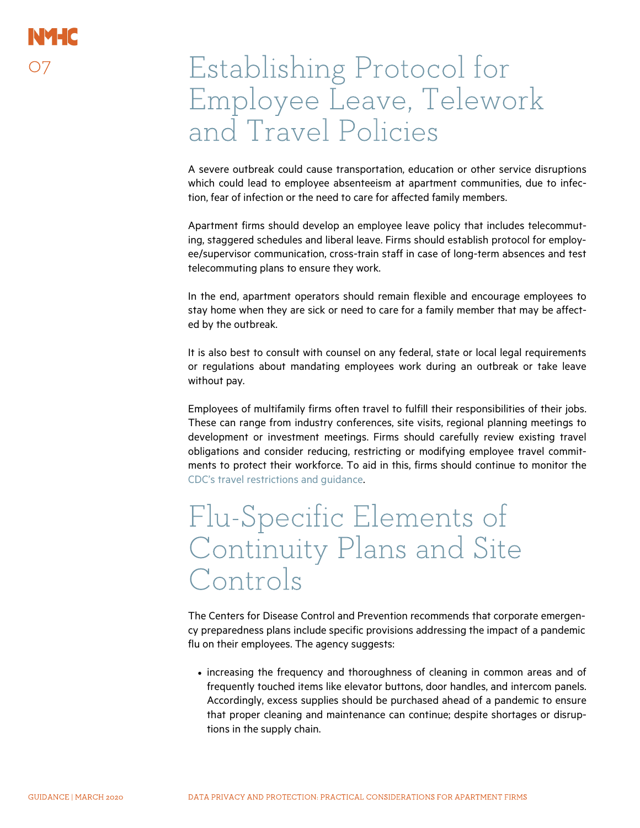### Establishing Protocol for Employee Leave, Telework and Travel Policies

A severe outbreak could cause transportation, education or other service disruptions which could lead to employee absenteeism at apartment communities, due to infection, fear of infection or the need to care for affected family members.

Apartment firms should develop an employee leave policy that includes telecommuting, staggered schedules and liberal leave. Firms should establish protocol for employee/supervisor communication, cross-train staff in case of long-term absences and test telecommuting plans to ensure they work.

In the end, apartment operators should remain flexible and encourage employees to stay home when they are sick or need to care for a family member that may be affected by the outbreak.

It is also best to consult with counsel on any federal, state or local legal requirements or regulations about mandating employees work during an outbreak or take leave without pay.

Employees of multifamily firms often travel to fulfill their responsibilities of their jobs. These can range from industry conferences, site visits, regional planning meetings to development or investment meetings. Firms should carefully review existing travel obligations and consider reducing, restricting or modifying employee travel commitments to protect their workforce. To aid in this, firms should continue to monitor the CDC's travel restrictions and guidance.

### Flu-Specific Elements of Continuity Plans and Site Controls

The Centers for Disease Control and Prevention recommends that corporate emergency preparedness plans include specific provisions addressing the impact of a pandemic flu on their employees. The agency suggests:

• increasing the frequency and thoroughness of cleaning in common areas and of frequently touched items like elevator buttons, door handles, and intercom panels. Accordingly, excess supplies should be purchased ahead of a pandemic to ensure that proper cleaning and maintenance can continue; despite shortages or disruptions in the supply chain.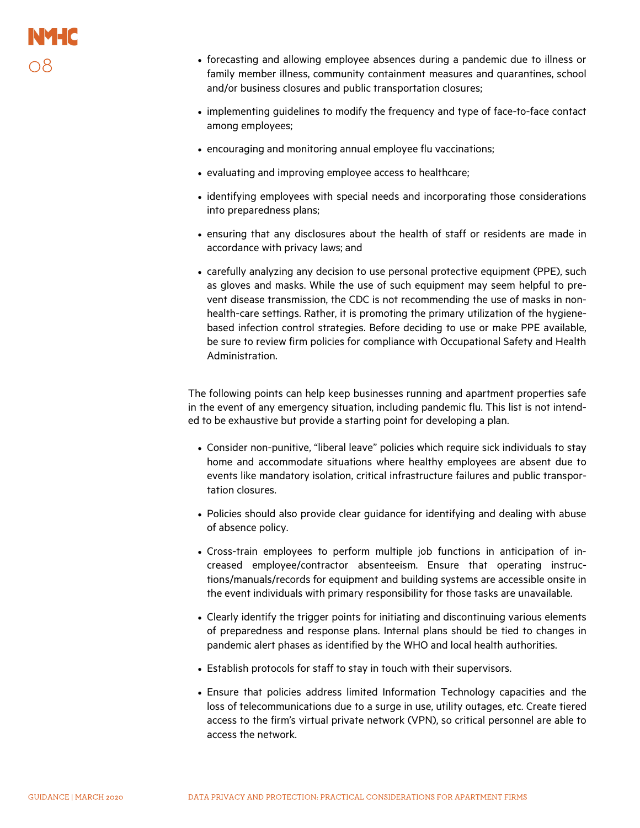- forecasting and allowing employee absences during a pandemic due to illness or family member illness, community containment measures and quarantines, school and/or business closures and public transportation closures;
- implementing guidelines to modify the frequency and type of face-to-face contact among employees;
- encouraging and monitoring annual employee flu vaccinations;
- evaluating and improving employee access to healthcare;
- identifying employees with special needs and incorporating those considerations into preparedness plans;
- ensuring that any disclosures about the health of staff or residents are made in accordance with privacy laws; and
- carefully analyzing any decision to use personal protective equipment (PPE), such as gloves and masks. While the use of such equipment may seem helpful to prevent disease transmission, the CDC is not recommending the use of masks in nonhealth-care settings. Rather, it is promoting the primary utilization of the hygienebased infection control strategies. Before deciding to use or make PPE available, be sure to review firm policies for compliance with Occupational Safety and Health Administration.

The following points can help keep businesses running and apartment properties safe in the event of any emergency situation, including pandemic flu. This list is not intended to be exhaustive but provide a starting point for developing a plan.

- Consider non-punitive, "liberal leave" policies which require sick individuals to stay home and accommodate situations where healthy employees are absent due to events like mandatory isolation, critical infrastructure failures and public transportation closures.
- Policies should also provide clear guidance for identifying and dealing with abuse of absence policy.
- Cross-train employees to perform multiple job functions in anticipation of increased employee/contractor absenteeism. Ensure that operating instructions/manuals/records for equipment and building systems are accessible onsite in the event individuals with primary responsibility for those tasks are unavailable.
- Clearly identify the trigger points for initiating and discontinuing various elements of preparedness and response plans. Internal plans should be tied to changes in pandemic alert phases as identified by the WHO and local health authorities.
- Establish protocols for staff to stay in touch with their supervisors.
- Ensure that policies address limited Information Technology capacities and the loss of telecommunications due to a surge in use, utility outages, etc. Create tiered access to the firm's virtual private network (VPN), so critical personnel are able to access the network.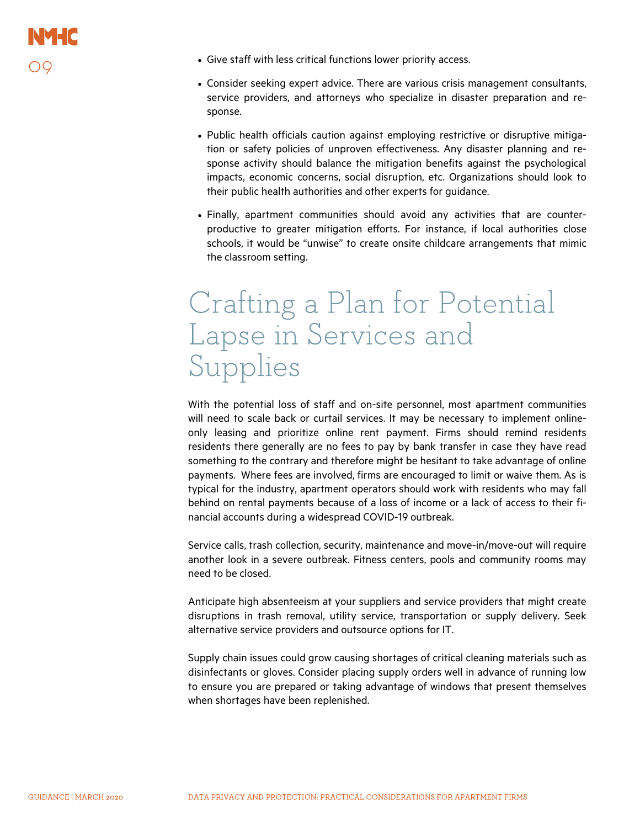- Give staff with less critical functions lower priority access.
- Consider seeking expert advice. There are various crisis management consultants, service providers, and attorneys who specialize in disaster preparation and response.
- Public health officials caution against employing restrictive or disruptive mitigation or safety policies of unproven effectiveness. Any disaster planning and response activity should balance the mitigation benefits against the psychological impacts, economic concerns, social disruption, etc. Organizations should look to their public health authorities and other experts for guidance.
- Finally, apartment communities should avoid any activities that are counterproductive to greater mitigation efforts. For instance, if local authorities close schools, it would be "unwise" to create onsite childcare arrangements that mimic the classroom setting.

### Crafting a Plan for Potential Lapse in Services and Supplies

With the potential loss of staff and on-site personnel, most apartment communities will need to scale back or curtail services. It may be necessary to implement onlineonly leasing and prioritize online rent payment. Firms should remind residents residents there generally are no fees to pay by bank transfer in case they have read something to the contrary and therefore might be hesitant to take advantage of online payments. Where fees are involved, firms are encouraged to limit or waive them. As is typical for the industry, apartment operators should work with residents who may fall behind on rental payments because of a loss of income or a lack of access to their financial accounts during a widespread COVID-19 outbreak.

Service calls, trash collection, security, maintenance and move-in/move-out will require another look in a severe outbreak. Fitness centers, pools and community rooms may need to be closed.

Anticipate high absenteeism at your suppliers and service providers that might create disruptions in trash removal, utility service, transportation or supply delivery. Seek alternative service providers and outsource options for IT.

Supply chain issues could grow causing shortages of critical cleaning materials such as disinfectants or gloves. Consider placing supply orders well in advance of running low to ensure you are prepared or taking advantage of windows that present themselves when shortages have been replenished.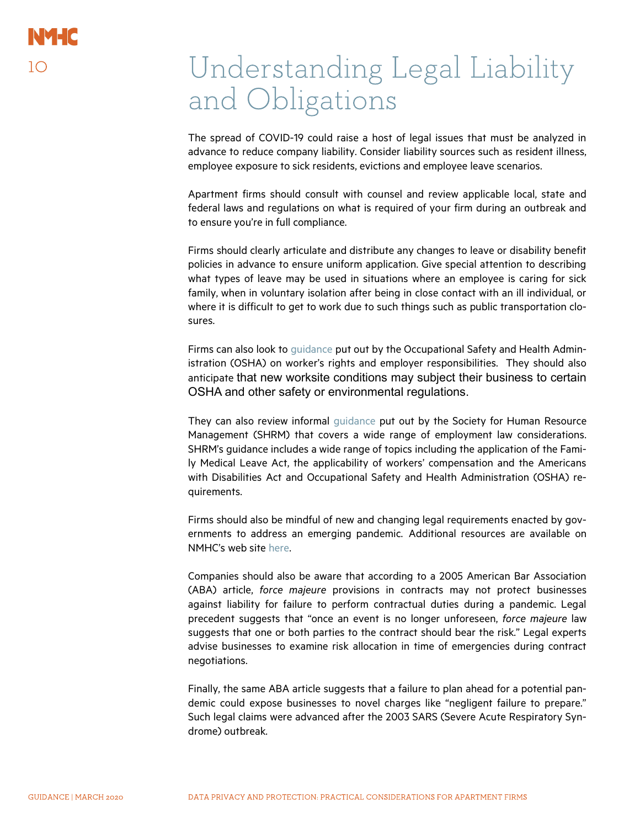### Understanding Legal Liability and Obligations

The spread of COVID-19 could raise a host of legal issues that must be analyzed in advance to reduce company liability. Consider liability sources such as resident illness, employee exposure to sick residents, evictions and employee leave scenarios.

Apartment firms should consult with counsel and review applicable local, state and federal laws and regulations on what is required of your firm during an outbreak and to ensure you're in full compliance.

Firms should clearly articulate and distribute any changes to leave or disability benefit policies in advance to ensure uniform application. Give special attention to describing what types of leave may be used in situations where an employee is caring for sick family, when in voluntary isolation after being in close contact with an ill individual, or where it is difficult to get to work due to such things such as public transportation closures.

Firms can also look to guidance put out by the Occupational Safety and Health Administration (OSHA) on worker's rights and employer responsibilities. They should also anticipate that new worksite conditions may subject their business to certain OSHA and other safety or environmental regulations.

They can also review informal guidance put out by the Society for Human Resource Management (SHRM) that covers a wide range of employment law considerations. SHRM's guidance includes a wide range of topics including the application of the Family Medical Leave Act, the applicability of workers' compensation and the Americans with Disabilities Act and Occupational Safety and Health Administration (OSHA) requirements.

Firms should also be mindful of new and changing legal requirements enacted by governments to address an emerging pandemic. Additional resources are available on NMHC's web site here.

Companies should also be aware that according to a 2005 American Bar Association (ABA) article, force majeure provisions in contracts may not protect businesses against liability for failure to perform contractual duties during a pandemic. Legal precedent suggests that "once an event is no longer unforeseen, force majeure law suggests that one or both parties to the contract should bear the risk." Legal experts advise businesses to examine risk allocation in time of emergencies during contract negotiations.

Finally, the same ABA article suggests that a failure to plan ahead for a potential pandemic could expose businesses to novel charges like "negligent failure to prepare." Such legal claims were advanced after the 2003 SARS (Severe Acute Respiratory Syndrome) outbreak.